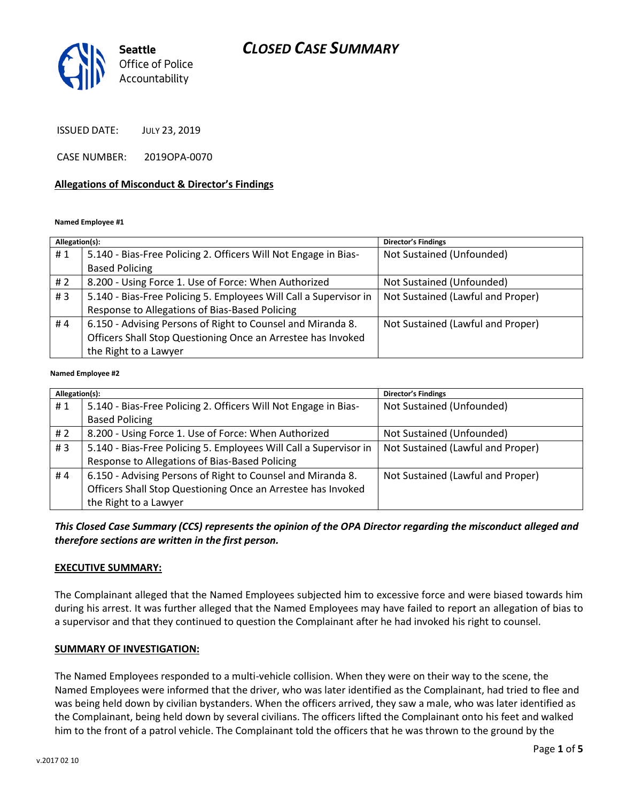## *CLOSED CASE SUMMARY*



ISSUED DATE: JULY 23, 2019

CASE NUMBER: 2019OPA-0070

#### **Allegations of Misconduct & Director's Findings**

#### **Named Employee #1**

| Allegation(s): |                                                                   | <b>Director's Findings</b>        |
|----------------|-------------------------------------------------------------------|-----------------------------------|
| #1             | 5.140 - Bias-Free Policing 2. Officers Will Not Engage in Bias-   | Not Sustained (Unfounded)         |
|                | <b>Based Policing</b>                                             |                                   |
| #2             | 8.200 - Using Force 1. Use of Force: When Authorized              | Not Sustained (Unfounded)         |
| #3             | 5.140 - Bias-Free Policing 5. Employees Will Call a Supervisor in | Not Sustained (Lawful and Proper) |
|                | Response to Allegations of Bias-Based Policing                    |                                   |
| #4             | 6.150 - Advising Persons of Right to Counsel and Miranda 8.       | Not Sustained (Lawful and Proper) |
|                | Officers Shall Stop Questioning Once an Arrestee has Invoked      |                                   |
|                | the Right to a Lawyer                                             |                                   |
|                |                                                                   |                                   |

#### **Named Employee #2**

| Allegation(s): |                                                                   | Director's Findings               |
|----------------|-------------------------------------------------------------------|-----------------------------------|
| #1             | 5.140 - Bias-Free Policing 2. Officers Will Not Engage in Bias-   | Not Sustained (Unfounded)         |
|                | <b>Based Policing</b>                                             |                                   |
| #2             | 8.200 - Using Force 1. Use of Force: When Authorized              | Not Sustained (Unfounded)         |
| #3             | 5.140 - Bias-Free Policing 5. Employees Will Call a Supervisor in | Not Sustained (Lawful and Proper) |
|                | Response to Allegations of Bias-Based Policing                    |                                   |
| #4             | 6.150 - Advising Persons of Right to Counsel and Miranda 8.       | Not Sustained (Lawful and Proper) |
|                | Officers Shall Stop Questioning Once an Arrestee has Invoked      |                                   |
|                | the Right to a Lawyer                                             |                                   |

#### *This Closed Case Summary (CCS) represents the opinion of the OPA Director regarding the misconduct alleged and therefore sections are written in the first person.*

#### **EXECUTIVE SUMMARY:**

The Complainant alleged that the Named Employees subjected him to excessive force and were biased towards him during his arrest. It was further alleged that the Named Employees may have failed to report an allegation of bias to a supervisor and that they continued to question the Complainant after he had invoked his right to counsel.

#### **SUMMARY OF INVESTIGATION:**

The Named Employees responded to a multi-vehicle collision. When they were on their way to the scene, the Named Employees were informed that the driver, who was later identified as the Complainant, had tried to flee and was being held down by civilian bystanders. When the officers arrived, they saw a male, who was later identified as the Complainant, being held down by several civilians. The officers lifted the Complainant onto his feet and walked him to the front of a patrol vehicle. The Complainant told the officers that he was thrown to the ground by the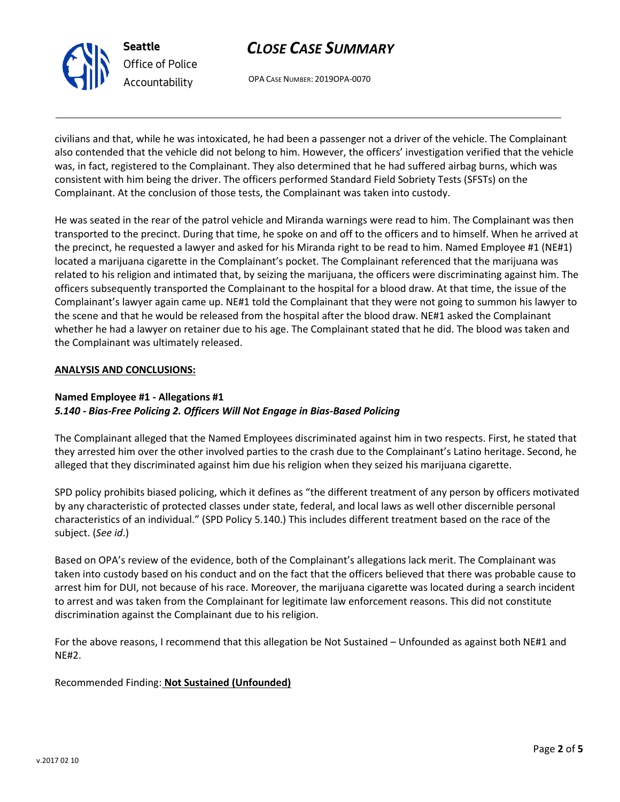

**Seattle** *Office of Police Accountability*

# *CLOSE CASE SUMMARY*

OPA CASE NUMBER: 2019OPA-0070

civilians and that, while he was intoxicated, he had been a passenger not a driver of the vehicle. The Complainant also contended that the vehicle did not belong to him. However, the officers' investigation verified that the vehicle was, in fact, registered to the Complainant. They also determined that he had suffered airbag burns, which was consistent with him being the driver. The officers performed Standard Field Sobriety Tests (SFSTs) on the Complainant. At the conclusion of those tests, the Complainant was taken into custody.

He was seated in the rear of the patrol vehicle and Miranda warnings were read to him. The Complainant was then transported to the precinct. During that time, he spoke on and off to the officers and to himself. When he arrived at the precinct, he requested a lawyer and asked for his Miranda right to be read to him. Named Employee #1 (NE#1) located a marijuana cigarette in the Complainant's pocket. The Complainant referenced that the marijuana was related to his religion and intimated that, by seizing the marijuana, the officers were discriminating against him. The officers subsequently transported the Complainant to the hospital for a blood draw. At that time, the issue of the Complainant's lawyer again came up. NE#1 told the Complainant that they were not going to summon his lawyer to the scene and that he would be released from the hospital after the blood draw. NE#1 asked the Complainant whether he had a lawyer on retainer due to his age. The Complainant stated that he did. The blood was taken and the Complainant was ultimately released.

## **ANALYSIS AND CONCLUSIONS:**

#### **Named Employee #1 - Allegations #1** *5.140 - Bias-Free Policing 2. Officers Will Not Engage in Bias-Based Policing*

The Complainant alleged that the Named Employees discriminated against him in two respects. First, he stated that they arrested him over the other involved parties to the crash due to the Complainant's Latino heritage. Second, he alleged that they discriminated against him due his religion when they seized his marijuana cigarette.

SPD policy prohibits biased policing, which it defines as "the different treatment of any person by officers motivated by any characteristic of protected classes under state, federal, and local laws as well other discernible personal characteristics of an individual." (SPD Policy 5.140.) This includes different treatment based on the race of the subject. (*See id*.)

Based on OPA's review of the evidence, both of the Complainant's allegations lack merit. The Complainant was taken into custody based on his conduct and on the fact that the officers believed that there was probable cause to arrest him for DUI, not because of his race. Moreover, the marijuana cigarette was located during a search incident to arrest and was taken from the Complainant for legitimate law enforcement reasons. This did not constitute discrimination against the Complainant due to his religion.

For the above reasons, I recommend that this allegation be Not Sustained – Unfounded as against both NE#1 and NE#2.

Recommended Finding: **Not Sustained (Unfounded)**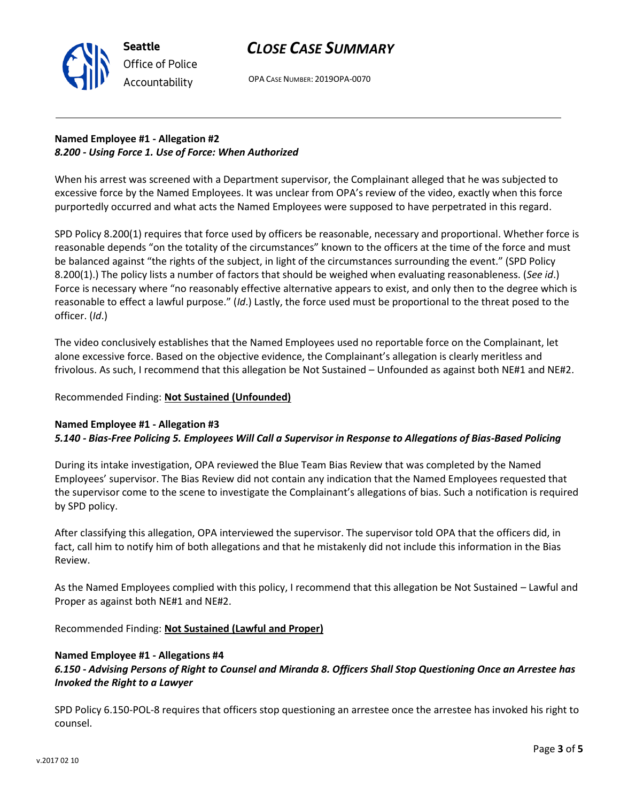## *CLOSE CASE SUMMARY*



OPA CASE NUMBER: 2019OPA-0070

## **Named Employee #1 - Allegation #2** *8.200 - Using Force 1. Use of Force: When Authorized*

When his arrest was screened with a Department supervisor, the Complainant alleged that he was subjected to excessive force by the Named Employees. It was unclear from OPA's review of the video, exactly when this force purportedly occurred and what acts the Named Employees were supposed to have perpetrated in this regard.

SPD Policy 8.200(1) requires that force used by officers be reasonable, necessary and proportional. Whether force is reasonable depends "on the totality of the circumstances" known to the officers at the time of the force and must be balanced against "the rights of the subject, in light of the circumstances surrounding the event." (SPD Policy 8.200(1).) The policy lists a number of factors that should be weighed when evaluating reasonableness. (*See id*.) Force is necessary where "no reasonably effective alternative appears to exist, and only then to the degree which is reasonable to effect a lawful purpose." (*Id*.) Lastly, the force used must be proportional to the threat posed to the officer. (*Id*.)

The video conclusively establishes that the Named Employees used no reportable force on the Complainant, let alone excessive force. Based on the objective evidence, the Complainant's allegation is clearly meritless and frivolous. As such, I recommend that this allegation be Not Sustained – Unfounded as against both NE#1 and NE#2.

## Recommended Finding: **Not Sustained (Unfounded)**

#### **Named Employee #1 - Allegation #3**

## *5.140 - Bias-Free Policing 5. Employees Will Call a Supervisor in Response to Allegations of Bias-Based Policing*

During its intake investigation, OPA reviewed the Blue Team Bias Review that was completed by the Named Employees' supervisor. The Bias Review did not contain any indication that the Named Employees requested that the supervisor come to the scene to investigate the Complainant's allegations of bias. Such a notification is required by SPD policy.

After classifying this allegation, OPA interviewed the supervisor. The supervisor told OPA that the officers did, in fact, call him to notify him of both allegations and that he mistakenly did not include this information in the Bias Review.

As the Named Employees complied with this policy, I recommend that this allegation be Not Sustained – Lawful and Proper as against both NE#1 and NE#2.

Recommended Finding: **Not Sustained (Lawful and Proper)**

#### **Named Employee #1 - Allegations #4**

*6.150 - Advising Persons of Right to Counsel and Miranda 8. Officers Shall Stop Questioning Once an Arrestee has Invoked the Right to a Lawyer*

SPD Policy 6.150-POL-8 requires that officers stop questioning an arrestee once the arrestee has invoked his right to counsel.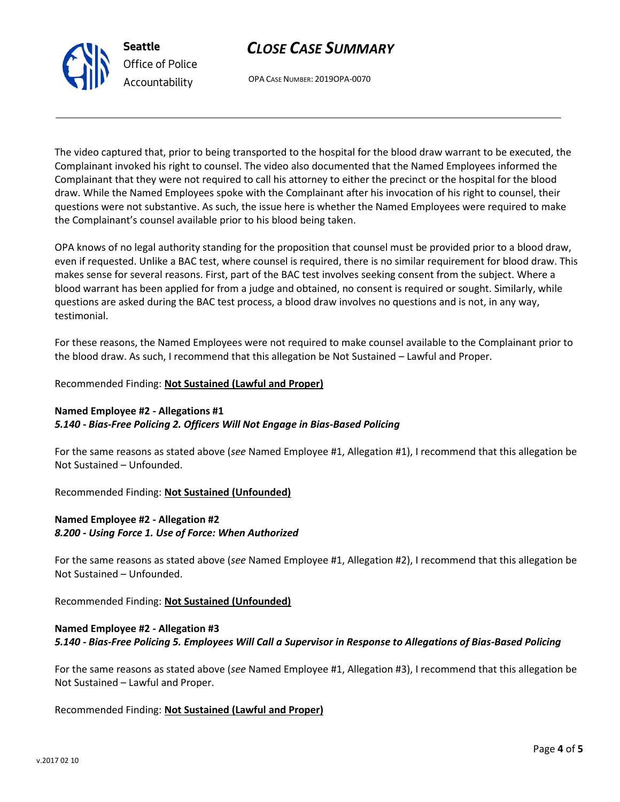# *CLOSE CASE SUMMARY*

OPA CASE NUMBER: 2019OPA-0070

The video captured that, prior to being transported to the hospital for the blood draw warrant to be executed, the Complainant invoked his right to counsel. The video also documented that the Named Employees informed the Complainant that they were not required to call his attorney to either the precinct or the hospital for the blood draw. While the Named Employees spoke with the Complainant after his invocation of his right to counsel, their questions were not substantive. As such, the issue here is whether the Named Employees were required to make the Complainant's counsel available prior to his blood being taken.

OPA knows of no legal authority standing for the proposition that counsel must be provided prior to a blood draw, even if requested. Unlike a BAC test, where counsel is required, there is no similar requirement for blood draw. This makes sense for several reasons. First, part of the BAC test involves seeking consent from the subject. Where a blood warrant has been applied for from a judge and obtained, no consent is required or sought. Similarly, while questions are asked during the BAC test process, a blood draw involves no questions and is not, in any way, testimonial.

For these reasons, the Named Employees were not required to make counsel available to the Complainant prior to the blood draw. As such, I recommend that this allegation be Not Sustained – Lawful and Proper.

## Recommended Finding: **Not Sustained (Lawful and Proper)**

## **Named Employee #2 - Allegations #1** *5.140 - Bias-Free Policing 2. Officers Will Not Engage in Bias-Based Policing*

For the same reasons as stated above (*see* Named Employee #1, Allegation #1), I recommend that this allegation be Not Sustained – Unfounded.

Recommended Finding: **Not Sustained (Unfounded)**

## **Named Employee #2 - Allegation #2** *8.200 - Using Force 1. Use of Force: When Authorized*

For the same reasons as stated above (*see* Named Employee #1, Allegation #2), I recommend that this allegation be Not Sustained – Unfounded.

Recommended Finding: **Not Sustained (Unfounded)**

## **Named Employee #2 - Allegation #3** *5.140 - Bias-Free Policing 5. Employees Will Call a Supervisor in Response to Allegations of Bias-Based Policing*

For the same reasons as stated above (*see* Named Employee #1, Allegation #3), I recommend that this allegation be Not Sustained – Lawful and Proper.

Recommended Finding: **Not Sustained (Lawful and Proper)**



**Seattle** *Office of Police Accountability*